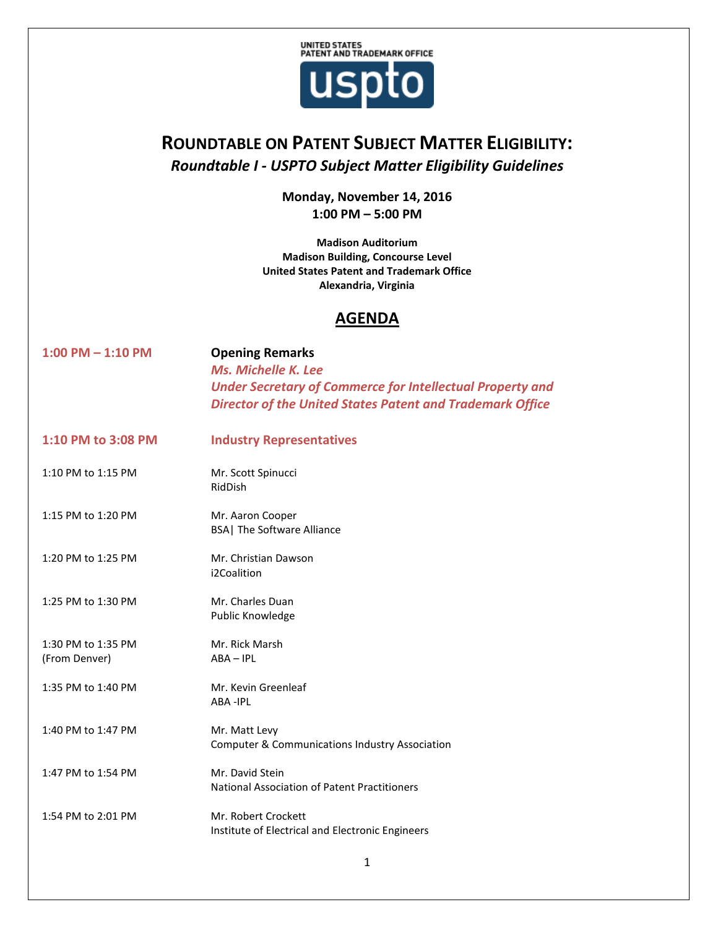

## **ROUNDTABLE ON PATENT SUBJECT MATTER ELIGIBILITY:** *Roundtable I - USPTO Subject Matter Eligibility Guidelines*

**Monday, November 14, 2016 1:00 PM – 5:00 PM**

**Madison Auditorium Madison Building, Concourse Level United States Patent and Trademark Office Alexandria, Virginia**

## **AGENDA**

| $1:00$ PM $- 1:10$ PM               | <b>Opening Remarks</b><br>Ms. Michelle K. Lee<br><b>Under Secretary of Commerce for Intellectual Property and</b><br><b>Director of the United States Patent and Trademark Office</b> |
|-------------------------------------|---------------------------------------------------------------------------------------------------------------------------------------------------------------------------------------|
| 1:10 PM to 3:08 PM                  | <b>Industry Representatives</b>                                                                                                                                                       |
| 1:10 PM to 1:15 PM                  | Mr. Scott Spinucci<br>RidDish                                                                                                                                                         |
| 1:15 PM to 1:20 PM                  | Mr. Aaron Cooper<br><b>BSA</b> The Software Alliance                                                                                                                                  |
| 1:20 PM to 1:25 PM                  | Mr. Christian Dawson<br>i2Coalition                                                                                                                                                   |
| 1:25 PM to 1:30 PM                  | Mr. Charles Duan<br>Public Knowledge                                                                                                                                                  |
| 1:30 PM to 1:35 PM<br>(From Denver) | Mr. Rick Marsh<br>$ABA - IPL$                                                                                                                                                         |
| 1:35 PM to 1:40 PM                  | Mr. Kevin Greenleaf<br><b>ABA-IPL</b>                                                                                                                                                 |
| 1:40 PM to 1:47 PM                  | Mr. Matt Levy<br><b>Computer &amp; Communications Industry Association</b>                                                                                                            |
| 1:47 PM to 1:54 PM                  | Mr. David Stein<br><b>National Association of Patent Practitioners</b>                                                                                                                |
| 1:54 PM to 2:01 PM                  | Mr. Robert Crockett<br>Institute of Electrical and Electronic Engineers                                                                                                               |
|                                     |                                                                                                                                                                                       |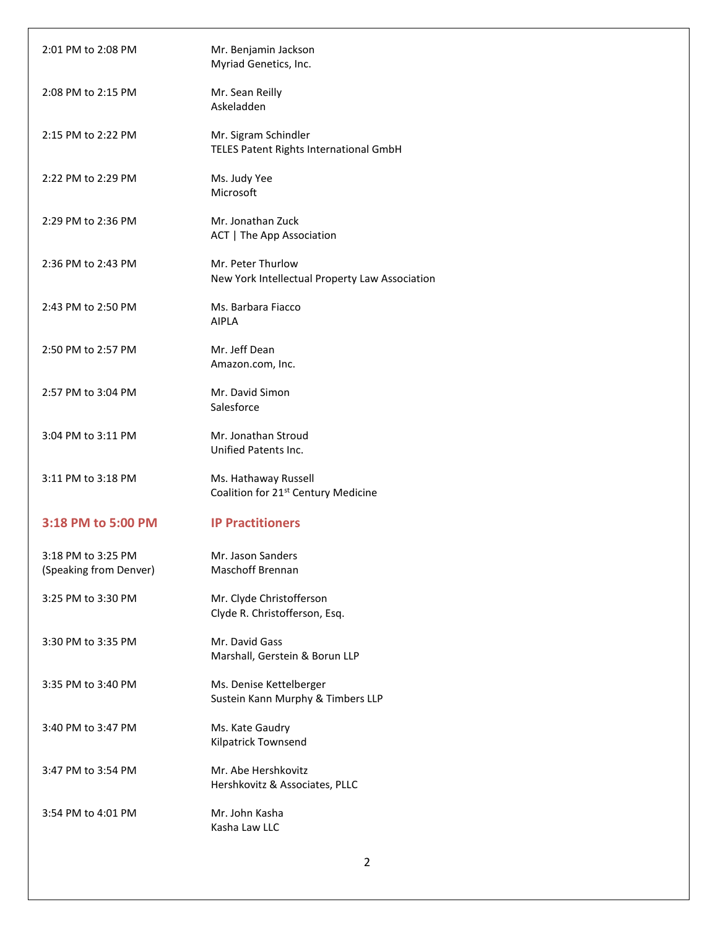| 2:01 PM to 2:08 PM                           | Mr. Benjamin Jackson<br>Myriad Genetics, Inc.                           |
|----------------------------------------------|-------------------------------------------------------------------------|
| 2:08 PM to 2:15 PM                           | Mr. Sean Reilly<br>Askeladden                                           |
| 2:15 PM to 2:22 PM                           | Mr. Sigram Schindler<br>TELES Patent Rights International GmbH          |
| 2:22 PM to 2:29 PM                           | Ms. Judy Yee<br>Microsoft                                               |
| 2:29 PM to 2:36 PM                           | Mr. Jonathan Zuck<br>ACT   The App Association                          |
| 2:36 PM to 2:43 PM                           | Mr. Peter Thurlow<br>New York Intellectual Property Law Association     |
| 2:43 PM to 2:50 PM                           | Ms. Barbara Fiacco<br><b>AIPLA</b>                                      |
| 2:50 PM to 2:57 PM                           | Mr. Jeff Dean<br>Amazon.com, Inc.                                       |
| 2:57 PM to 3:04 PM                           | Mr. David Simon<br>Salesforce                                           |
| 3:04 PM to 3:11 PM                           | Mr. Jonathan Stroud<br>Unified Patents Inc.                             |
| 3:11 PM to 3:18 PM                           | Ms. Hathaway Russell<br>Coalition for 21 <sup>st</sup> Century Medicine |
| 3:18 PM to 5:00 PM                           | <b>IP Practitioners</b>                                                 |
| 3:18 PM to 3:25 PM<br>(Speaking from Denver) | Mr. Jason Sanders<br><b>Maschoff Brennan</b>                            |
| 3:25 PM to 3:30 PM                           | Mr. Clyde Christofferson<br>Clyde R. Christofferson, Esq.               |
| 3:30 PM to 3:35 PM                           | Mr. David Gass<br>Marshall, Gerstein & Borun LLP                        |
| 3:35 PM to 3:40 PM                           | Ms. Denise Kettelberger<br>Sustein Kann Murphy & Timbers LLP            |
| 3:40 PM to 3:47 PM                           | Ms. Kate Gaudry<br>Kilpatrick Townsend                                  |
| 3:47 PM to 3:54 PM                           | Mr. Abe Hershkovitz<br>Hershkovitz & Associates, PLLC                   |
| 3:54 PM to 4:01 PM                           | Mr. John Kasha<br>Kasha Law LLC                                         |